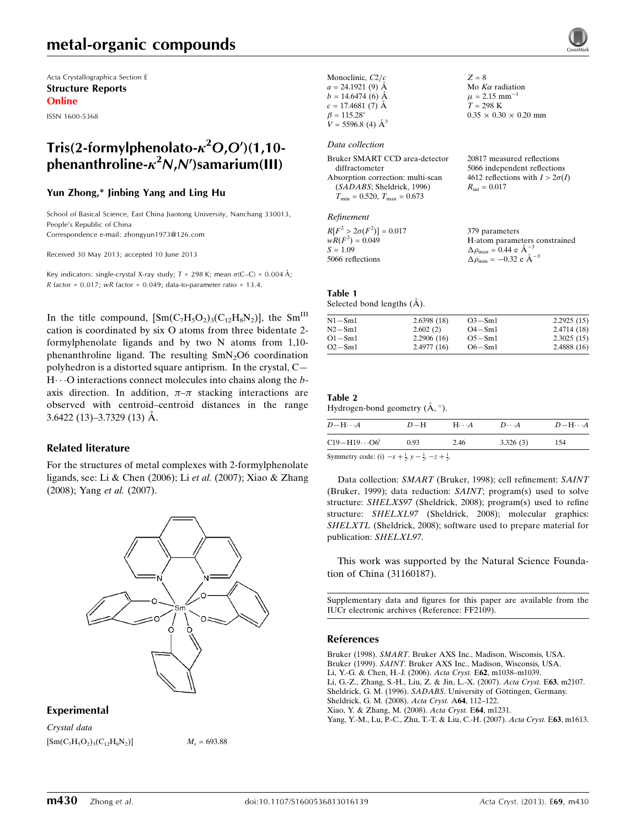## metal-organic compounds

Acta Crystallographica Section E Structure Reports Online

ISSN 1600-5368

## Tris(2-formylphenolato- $\kappa^2$ O,O')(1,10phenanthroline- $\kappa^2$ N,N')samarium(III)

### Yun Zhong,\* Jinbing Yang and Ling Hu

School of Basical Science, East China Jiaotong University, Nanchang 330013, People's Republic of China Correspondence e-mail: [zhongyun1973@126.com](https://scripts.iucr.org/cgi-bin/cr.cgi?rm=pdfbb&cnor=ff2109&bbid=BB8)

Received 30 May 2013; accepted 10 June 2013

Key indicators: single-crystal X-ray study;  $T = 298$  K; mean  $\sigma$ (C–C) = 0.004 Å; R factor =  $0.017$ ; wR factor =  $0.049$ ; data-to-parameter ratio =  $13.4$ .

In the title compound,  $[\text{Sm}(C_7H_5O_2)_3(C_{12}H_8N_2)]$ , the Sm<sup>III</sup> cation is coordinated by six O atoms from three bidentate 2 formylphenolate ligands and by two N atoms from 1,10 phenanthroline ligand. The resulting SmN<sub>2</sub>O6 coordination polyhedron is a distorted square antiprism. In the crystal, C—  $H \cdots$ O interactions connect molecules into chains along the baxis direction. In addition,  $\pi-\pi$  stacking interactions are observed with centroid–centroid distances in the range  $3.6422(13) - 3.7329(13)$  Å.

#### Related literature

For the structures of metal complexes with 2-formylphenolate ligands, see: Li & Chen (2006); Li et al. (2007); Xiao & Zhang (2008); Yang et al. (2007).



### Experimental

Crystal data  $[M_C/H_5O_2]_3(C_{12}H_8N_2)]$   $M_r = 693.88$ 

| Monoclinic, $C2/c$       |  |
|--------------------------|--|
| $a = 24.1921(9)$ Å       |  |
| $b = 14.6474(6)$ Å       |  |
| $c = 17.4681(7)$ Å       |  |
| $\beta = 115.28^\circ$   |  |
| $V = 5596.8$ (4) $\AA^3$ |  |

#### Data collection

| Bruker SMART CCD area-detector                   | 20817 measured reflections             |
|--------------------------------------------------|----------------------------------------|
| diffractometer                                   | 5066 independent reflections           |
| Absorption correction: multi-scan                | 4612 reflections with $I > 2\sigma(I)$ |
| (SADABS; Sheldrick, 1996)                        | $R_{\rm int} = 0.017$                  |
| $T_{\text{min}} = 0.520, T_{\text{max}} = 0.673$ |                                        |
|                                                  |                                        |

 $Z = 8$ 

Mo  $K\alpha$  radiation  $\mu$  = 2.15 mm<sup>-</sup>  $T = 298$  K

 $0.35 \times 0.30 \times 0.20$  mm

#### Refinement

| $R[F^2 > 2\sigma(F^2)] = 0.017$ | 379 parameters                                     |
|---------------------------------|----------------------------------------------------|
| $wR(F^2) = 0.049$               | H-atom parameters constrained                      |
| $S = 1.09$                      | $\Delta \rho_{\text{max}} = 0.44 \text{ e A}^{-3}$ |
| 5066 reflections                | $\Delta \rho_{\text{min}} = -0.32$ e $\AA^{-3}$    |

### Table 1

Selected bond lengths  $(\AA)$ .

| $N1-Sm1$   | 2.6398(18) | $O3-Sm1$   | 2.2925(15) |
|------------|------------|------------|------------|
| $N2-Sm1$   | 2.602(2)   | $O4-Sm1$   | 2.4714(18) |
| $O1 - Sm1$ | 2.2906(16) | $O5 - Sm1$ | 2.3025(15) |
| $O2-Sm1$   | 2.4977(16) | $O6 - Sm1$ | 2.4888(16) |

### Table 2

Hydrogen-bond geometry  $(\mathring{A}, \degree)$ .

| $D - H \cdots A$        | $D-H$ | $H \cdots A$ | $D\cdots A$ | $D - H \cdots A$ |
|-------------------------|-------|--------------|-------------|------------------|
| $C19 - H19 \cdots O6^i$ | 0.93  | 2.46         | 3.326(3)    | 154              |

Symmetry code: (i)  $-x + \frac{1}{2}$ ,  $y - \frac{1}{2}$ ,  $-z + \frac{1}{2}$ .

Data collection: SMART (Bruker, 1998); cell refinement: SAINT (Bruker, 1999); data reduction: SAINT; program(s) used to solve structure: SHELXS97 (Sheldrick, 2008); program(s) used to refine structure: SHELXL97 (Sheldrick, 2008); molecular graphics: SHELXTL (Sheldrick, 2008); software used to prepare material for publication: SHELXL97.

This work was supported by the Natural Science Foundation of China (31160187).

Supplementary data and figures for this paper are available from the IUCr electronic archives (Reference: FF2109).

#### References

Bruker (1998). SMART[. Bruker AXS Inc., Madison, Wisconsis, USA.](https://scripts.iucr.org/cgi-bin/cr.cgi?rm=pdfbb&cnor=ff2109&bbid=BB1) Bruker (1999). SAINT[. Bruker AXS Inc., Madison, Wisconsis, USA.](https://scripts.iucr.org/cgi-bin/cr.cgi?rm=pdfbb&cnor=ff2109&bbid=BB2) [Li, Y.-G. & Chen, H.-J. \(2006\).](https://scripts.iucr.org/cgi-bin/cr.cgi?rm=pdfbb&cnor=ff2109&bbid=BB3) Acta Cryst. E62, m1038–m1039. [Li, G.-Z., Zhang, S.-H., Liu, Z. & Jin, L.-X. \(2007\).](https://scripts.iucr.org/cgi-bin/cr.cgi?rm=pdfbb&cnor=ff2109&bbid=BB4) Acta Cryst. E63, m2107. Sheldrick, G. M. (1996). SADABS. University of Göttingen, Germany. [Sheldrick, G. M. \(2008\).](https://scripts.iucr.org/cgi-bin/cr.cgi?rm=pdfbb&cnor=ff2109&bbid=BB6) Acta Cryst. A64, 112–122. [Xiao, Y. & Zhang, M. \(2008\).](https://scripts.iucr.org/cgi-bin/cr.cgi?rm=pdfbb&cnor=ff2109&bbid=BB7) Acta Cryst. E64, m1231. [Yang, Y.-M., Lu, P.-C., Zhu, T.-T. & Liu, C.-H. \(2007\).](https://scripts.iucr.org/cgi-bin/cr.cgi?rm=pdfbb&cnor=ff2109&bbid=BB8) Acta Cryst. E63, m1613.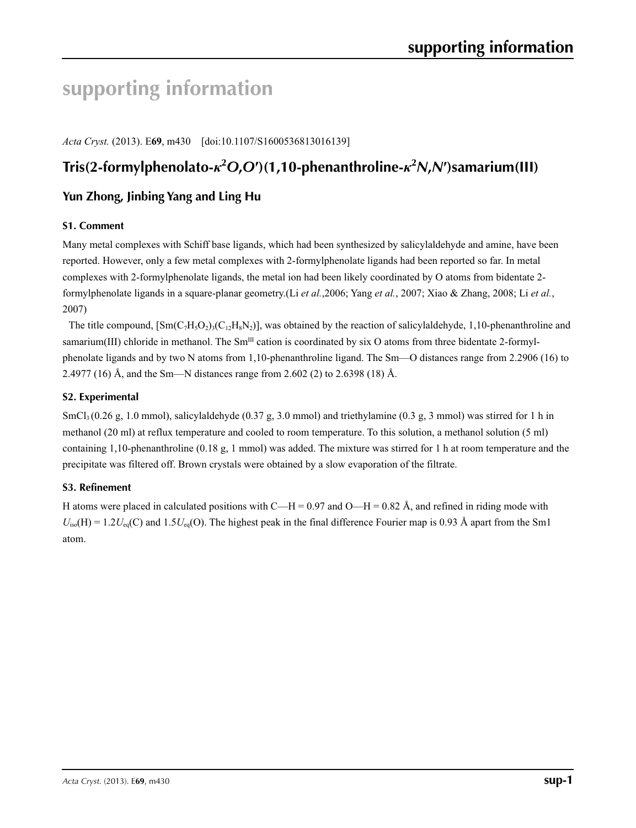# **supporting information**

*Acta Cryst.* (2013). E**69**, m430 [doi:10.1107/S1600536813016139]

## **Tris(2-formylphenolato-***κ***<sup>2</sup>** *O***,***O***′)(1,10-phenanthroline-***κ***<sup>2</sup>** *N***,***N***′)samarium(III)**

## **Yun Zhong, Jinbing Yang and Ling Hu**

## **S1. Comment**

Many metal complexes with Schiff base ligands, which had been synthesized by salicylaldehyde and amine, have been reported. However, only a few metal complexes with 2-formylphenolate ligands had been reported so far. In metal complexes with 2-formylphenolate ligands, the metal ion had been likely coordinated by O atoms from bidentate 2 formylphenolate ligands in a square-planar geometry.(Li *et al.*,2006; Yang *et al.*, 2007; Xiao & Zhang, 2008; Li *et al.*, 2007)

The title compound,  $[\text{Sm}(C_7H_3O_2)_{3}(C_{12}H_8N_2)]$ , was obtained by the reaction of salicylaldehyde, 1,10-phenanthroline and samarium(III) chloride in methanol. The  $Sm^{III}$  cation is coordinated by six O atoms from three bidentate 2-formylphenolate ligands and by two N atoms from 1,10-phenanthroline ligand. The Sm—O distances range from 2.2906 (16) to 2.4977 (16) Å, and the Sm—N distances range from 2.602 (2) to 2.6398 (18) Å.

## **S2. Experimental**

SmCl<sub>3</sub> (0.26 g, 1.0 mmol), salicylaldehyde (0.37 g, 3.0 mmol) and triethylamine (0.3 g, 3 mmol) was stirred for 1 h in methanol (20 ml) at reflux temperature and cooled to room temperature. To this solution, a methanol solution (5 ml) containing 1,10-phenanthroline (0.18 g, 1 mmol) was added. The mixture was stirred for 1 h at room temperature and the precipitate was filtered off. Brown crystals were obtained by a slow evaporation of the filtrate.

## **S3. Refinement**

H atoms were placed in calculated positions with C—H = 0.97 and O—H = 0.82 Å, and refined in riding mode with  $U_{iso}(H) = 1.2U_{eq}(C)$  and  $1.5U_{eq}(O)$ . The highest peak in the final difference Fourier map is 0.93 Å apart from the Sm1 atom.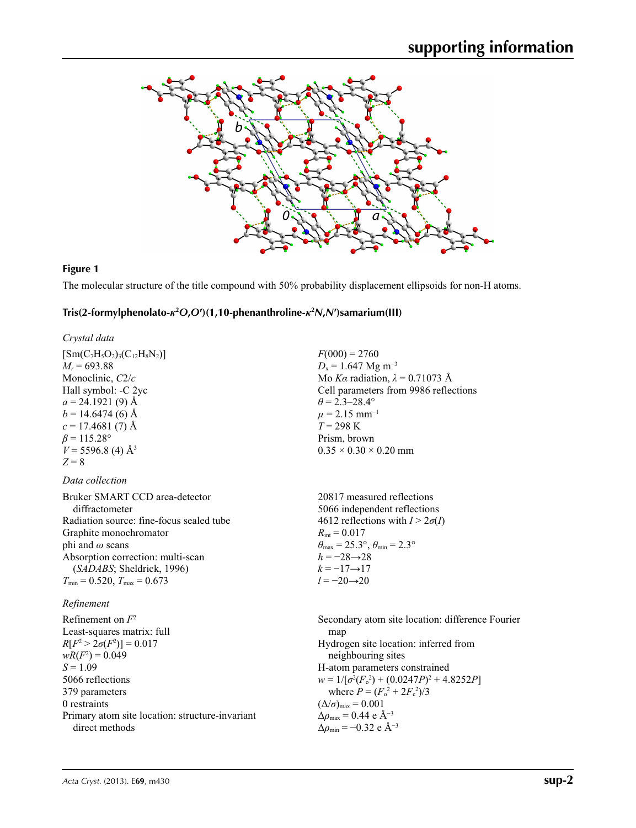

## **Figure 1**

The molecular structure of the title compound with 50% probability displacement ellipsoids for non-H atoms.

## **Tris(2-formylphenolato-***κ***<sup>2</sup>** *O***,***O***′)(1,10-phenanthroline-***κ***<sup>2</sup>** *N***,***N***′)samarium(III)**

| $F(000) = 2760$<br>$D_x = 1.647$ Mg m <sup>-3</sup><br>Mo Ka radiation, $\lambda = 0.71073$ Å<br>Cell parameters from 9986 reflections<br>$\theta$ = 2.3–28.4°<br>$\mu$ = 2.15 mm <sup>-1</sup><br>$T = 298 \text{ K}$<br>Prism, brown<br>$0.35 \times 0.30 \times 0.20$ mm                                                                                                                        |
|----------------------------------------------------------------------------------------------------------------------------------------------------------------------------------------------------------------------------------------------------------------------------------------------------------------------------------------------------------------------------------------------------|
|                                                                                                                                                                                                                                                                                                                                                                                                    |
| 20817 measured reflections<br>5066 independent reflections<br>4612 reflections with $I > 2\sigma(I)$<br>$R_{\rm int} = 0.017$<br>$\theta_{\text{max}} = 25.3^{\circ}, \theta_{\text{min}} = 2.3^{\circ}$<br>$h = -28 \rightarrow 28$<br>$k = -17 \rightarrow 17$<br>$l = -20 \rightarrow 20$                                                                                                       |
|                                                                                                                                                                                                                                                                                                                                                                                                    |
| Secondary atom site location: difference Fourier<br>map<br>Hydrogen site location: inferred from<br>neighbouring sites<br>H-atom parameters constrained<br>$w = 1/[\sigma^2(F_0^2) + (0.0247P)^2 + 4.8252P]$<br>where $P = (F_o^2 + 2F_c^2)/3$<br>$(\Delta/\sigma)_{\text{max}} = 0.001$<br>$\Delta\rho_{\text{max}} = 0.44$ e Å <sup>-3</sup><br>$\Delta\rho_{\rm min} = -0.32$ e Å <sup>-3</sup> |
|                                                                                                                                                                                                                                                                                                                                                                                                    |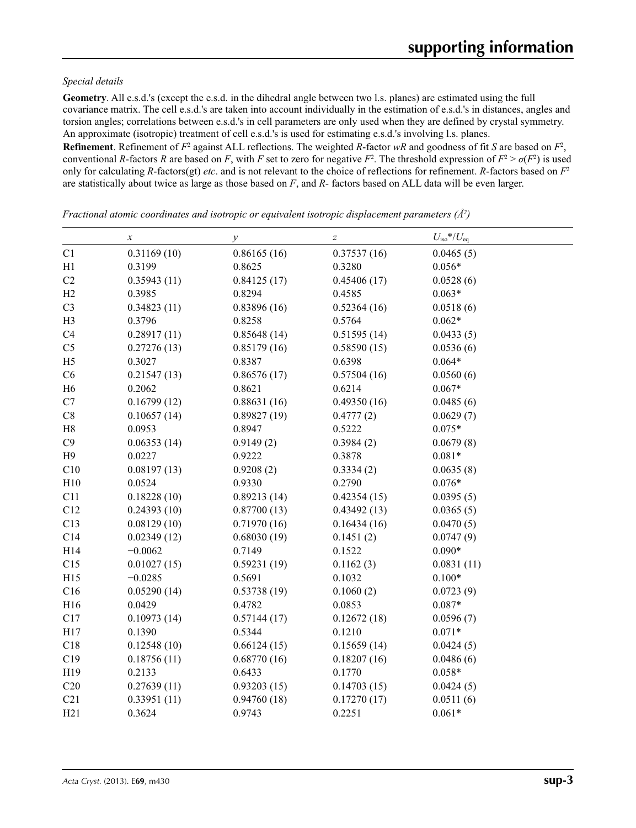### *Special details*

**Geometry**. All e.s.d.'s (except the e.s.d. in the dihedral angle between two l.s. planes) are estimated using the full covariance matrix. The cell e.s.d.'s are taken into account individually in the estimation of e.s.d.'s in distances, angles and torsion angles; correlations between e.s.d.'s in cell parameters are only used when they are defined by crystal symmetry. An approximate (isotropic) treatment of cell e.s.d.'s is used for estimating e.s.d.'s involving l.s. planes.

**Refinement**. Refinement of  $F^2$  against ALL reflections. The weighted R-factor wR and goodness of fit *S* are based on  $F^2$ , conventional *R*-factors *R* are based on *F*, with *F* set to zero for negative  $F^2$ . The threshold expression of  $F^2 > \sigma(F^2)$  is used only for calculating *R*-factors(gt) *etc*. and is not relevant to the choice of reflections for refinement. *R*-factors based on *F*<sup>2</sup> are statistically about twice as large as those based on *F*, and *R*- factors based on ALL data will be even larger.

|                 | $\boldsymbol{x}$ | $\mathcal{Y}$ | $\boldsymbol{Z}$ | $U_{\rm iso}*/U_{\rm eq}$ |  |
|-----------------|------------------|---------------|------------------|---------------------------|--|
| C1              | 0.31169(10)      | 0.86165(16)   | 0.37537(16)      | 0.0465(5)                 |  |
| H1              | 0.3199           | 0.8625        | 0.3280           | $0.056*$                  |  |
| C2              | 0.35943(11)      | 0.84125(17)   | 0.45406(17)      | 0.0528(6)                 |  |
| H2              | 0.3985           | 0.8294        | 0.4585           | $0.063*$                  |  |
| C <sub>3</sub>  | 0.34823(11)      | 0.83896(16)   | 0.52364(16)      | 0.0518(6)                 |  |
| H <sub>3</sub>  | 0.3796           | 0.8258        | 0.5764           | $0.062*$                  |  |
| C4              | 0.28917(11)      | 0.85648(14)   | 0.51595(14)      | 0.0433(5)                 |  |
| C <sub>5</sub>  | 0.27276(13)      | 0.85179(16)   | 0.58590(15)      | 0.0536(6)                 |  |
| H <sub>5</sub>  | 0.3027           | 0.8387        | 0.6398           | $0.064*$                  |  |
| C6              | 0.21547(13)      | 0.86576(17)   | 0.57504(16)      | 0.0560(6)                 |  |
| H <sub>6</sub>  | 0.2062           | 0.8621        | 0.6214           | $0.067*$                  |  |
| C7              | 0.16799(12)      | 0.88631(16)   | 0.49350(16)      | 0.0485(6)                 |  |
| C8              | 0.10657(14)      | 0.89827(19)   | 0.4777(2)        | 0.0629(7)                 |  |
| $\rm H8$        | 0.0953           | 0.8947        | 0.5222           | $0.075*$                  |  |
| C9              | 0.06353(14)      | 0.9149(2)     | 0.3984(2)        | 0.0679(8)                 |  |
| H9              | 0.0227           | 0.9222        | 0.3878           | $0.081*$                  |  |
| C10             | 0.08197(13)      | 0.9208(2)     | 0.3334(2)        | 0.0635(8)                 |  |
| H10             | 0.0524           | 0.9330        | 0.2790           | $0.076*$                  |  |
| C11             | 0.18228(10)      | 0.89213(14)   | 0.42354(15)      | 0.0395(5)                 |  |
| C12             | 0.24393(10)      | 0.87700(13)   | 0.43492(13)      | 0.0365(5)                 |  |
| C13             | 0.08129(10)      | 0.71970(16)   | 0.16434(16)      | 0.0470(5)                 |  |
| C14             | 0.02349(12)      | 0.68030(19)   | 0.1451(2)        | 0.0747(9)                 |  |
| H14             | $-0.0062$        | 0.7149        | 0.1522           | $0.090*$                  |  |
| C15             | 0.01027(15)      | 0.59231(19)   | 0.1162(3)        | 0.0831(11)                |  |
| H15             | $-0.0285$        | 0.5691        | 0.1032           | $0.100*$                  |  |
| C16             | 0.05290(14)      | 0.53738(19)   | 0.1060(2)        | 0.0723(9)                 |  |
| H16             | 0.0429           | 0.4782        | 0.0853           | $0.087*$                  |  |
| C17             | 0.10973(14)      | 0.57144(17)   | 0.12672(18)      | 0.0596(7)                 |  |
| H17             | 0.1390           | 0.5344        | 0.1210           | $0.071*$                  |  |
| C18             | 0.12548(10)      | 0.66124(15)   | 0.15659(14)      | 0.0424(5)                 |  |
| C19             | 0.18756(11)      | 0.68770(16)   | 0.18207(16)      | 0.0486(6)                 |  |
| H <sub>19</sub> | 0.2133           | 0.6433        | 0.1770           | $0.058*$                  |  |
| C20             | 0.27639(11)      | 0.93203(15)   | 0.14703(15)      | 0.0424(5)                 |  |
| C21             | 0.33951(11)      | 0.94760(18)   | 0.17270(17)      | 0.0511(6)                 |  |
| H21             | 0.3624           | 0.9743        | 0.2251           | $0.061*$                  |  |

*Fractional atomic coordinates and isotropic or equivalent isotropic displacement parameters (Å2 )*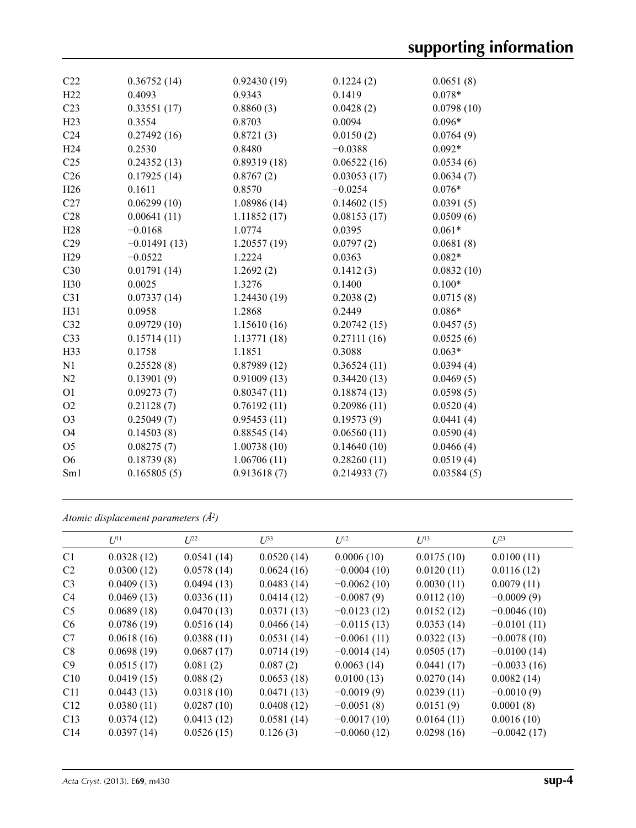| C22             | 0.36752(14)    | 0.92430(19) | 0.1224(2)   | 0.0651(8)  |
|-----------------|----------------|-------------|-------------|------------|
| H22             | 0.4093         | 0.9343      | 0.1419      | $0.078*$   |
| C <sub>23</sub> | 0.33551(17)    | 0.8860(3)   | 0.0428(2)   | 0.0798(10) |
| H23             | 0.3554         | 0.8703      | 0.0094      | $0.096*$   |
| C <sub>24</sub> | 0.27492(16)    | 0.8721(3)   | 0.0150(2)   | 0.0764(9)  |
| H <sub>24</sub> | 0.2530         | 0.8480      | $-0.0388$   | $0.092*$   |
| C <sub>25</sub> | 0.24352(13)    | 0.89319(18) | 0.06522(16) | 0.0534(6)  |
| C <sub>26</sub> | 0.17925(14)    | 0.8767(2)   | 0.03053(17) | 0.0634(7)  |
| H26             | 0.1611         | 0.8570      | $-0.0254$   | $0.076*$   |
| C27             | 0.06299(10)    | 1.08986(14) | 0.14602(15) | 0.0391(5)  |
| C28             | 0.00641(11)    | 1.11852(17) | 0.08153(17) | 0.0509(6)  |
| H <sub>28</sub> | $-0.0168$      | 1.0774      | 0.0395      | $0.061*$   |
| C29             | $-0.01491(13)$ | 1.20557(19) | 0.0797(2)   | 0.0681(8)  |
| H <sub>29</sub> | $-0.0522$      | 1.2224      | 0.0363      | $0.082*$   |
| C30             | 0.01791(14)    | 1.2692(2)   | 0.1412(3)   | 0.0832(10) |
| H <sub>30</sub> | 0.0025         | 1.3276      | 0.1400      | $0.100*$   |
| C31             | 0.07337(14)    | 1.24430(19) | 0.2038(2)   | 0.0715(8)  |
| H31             | 0.0958         | 1.2868      | 0.2449      | $0.086*$   |
| C32             | 0.09729(10)    | 1.15610(16) | 0.20742(15) | 0.0457(5)  |
| C33             | 0.15714(11)    | 1.13771(18) | 0.27111(16) | 0.0525(6)  |
| H33             | 0.1758         | 1.1851      | 0.3088      | $0.063*$   |
| N1              | 0.25528(8)     | 0.87989(12) | 0.36524(11) | 0.0394(4)  |
| N2              | 0.13901(9)     | 0.91009(13) | 0.34420(13) | 0.0469(5)  |
| O <sub>1</sub>  | 0.09273(7)     | 0.80347(11) | 0.18874(13) | 0.0598(5)  |
| O2              | 0.21128(7)     | 0.76192(11) | 0.20986(11) | 0.0520(4)  |
| O <sub>3</sub>  | 0.25049(7)     | 0.95453(11) | 0.19573(9)  | 0.0441(4)  |
| <b>O4</b>       | 0.14503(8)     | 0.88545(14) | 0.06560(11) | 0.0590(4)  |
| O <sub>5</sub>  | 0.08275(7)     | 1.00738(10) | 0.14640(10) | 0.0466(4)  |
| O <sub>6</sub>  | 0.18739(8)     | 1.06706(11) | 0.28260(11) | 0.0519(4)  |
| Sm1             | 0.165805(5)    | 0.913618(7) | 0.214933(7) | 0.03584(5) |
|                 |                |             |             |            |

*Atomic displacement parameters (Å2 )*

|                | $U^{11}$   | $U^{22}$   | $U^{33}$   | $U^{12}$      | $U^{13}$   | $U^{23}$      |
|----------------|------------|------------|------------|---------------|------------|---------------|
| C <sub>1</sub> | 0.0328(12) | 0.0541(14) | 0.0520(14) | 0.0006(10)    | 0.0175(10) | 0.0100(11)    |
| C <sub>2</sub> | 0.0300(12) | 0.0578(14) | 0.0624(16) | $-0.0004(10)$ | 0.0120(11) | 0.0116(12)    |
| C <sub>3</sub> | 0.0409(13) | 0.0494(13) | 0.0483(14) | $-0.0062(10)$ | 0.0030(11) | 0.0079(11)    |
| C <sub>4</sub> | 0.0469(13) | 0.0336(11) | 0.0414(12) | $-0.0087(9)$  | 0.0112(10) | $-0.0009(9)$  |
| C <sub>5</sub> | 0.0689(18) | 0.0470(13) | 0.0371(13) | $-0.0123(12)$ | 0.0152(12) | $-0.0046(10)$ |
| C <sub>6</sub> | 0.0786(19) | 0.0516(14) | 0.0466(14) | $-0.0115(13)$ | 0.0353(14) | $-0.0101(11)$ |
| C7             | 0.0618(16) | 0.0388(11) | 0.0531(14) | $-0.0061(11)$ | 0.0322(13) | $-0.0078(10)$ |
| C8             | 0.0698(19) | 0.0687(17) | 0.0714(19) | $-0.0014(14)$ | 0.0505(17) | $-0.0100(14)$ |
| C9             | 0.0515(17) | 0.081(2)   | 0.087(2)   | 0.0063(14)    | 0.0441(17) | $-0.0033(16)$ |
| C10            | 0.0419(15) | 0.088(2)   | 0.0653(18) | 0.0100(13)    | 0.0270(14) | 0.0082(14)    |
| C11            | 0.0443(13) | 0.0318(10) | 0.0471(13) | $-0.0019(9)$  | 0.0239(11) | $-0.0010(9)$  |
| C12            | 0.0380(11) | 0.0287(10) | 0.0408(12) | $-0.0051(8)$  | 0.0151(9)  | 0.0001(8)     |
| C13            | 0.0374(12) | 0.0413(12) | 0.0581(14) | $-0.0017(10)$ | 0.0164(11) | 0.0016(10)    |
| C14            | 0.0397(14) | 0.0526(15) | 0.126(3)   | $-0.0060(12)$ | 0.0298(16) | $-0.0042(17)$ |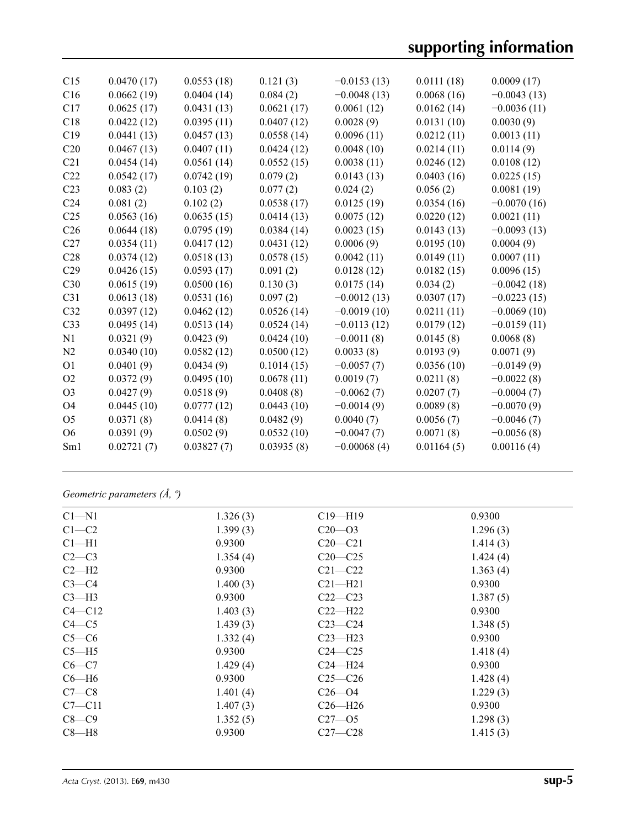# **supporting information**

| C15             | 0.0470(17) | 0.0553(18) | 0.121(3)   | $-0.0153(13)$ | 0.0111(18) | 0.0009(17)    |
|-----------------|------------|------------|------------|---------------|------------|---------------|
| C16             | 0.0662(19) | 0.0404(14) | 0.084(2)   | $-0.0048(13)$ | 0.0068(16) | $-0.0043(13)$ |
| C17             | 0.0625(17) | 0.0431(13) | 0.0621(17) | 0.0061(12)    | 0.0162(14) | $-0.0036(11)$ |
| C18             | 0.0422(12) | 0.0395(11) | 0.0407(12) | 0.0028(9)     | 0.0131(10) | 0.0030(9)     |
| C19             | 0.0441(13) | 0.0457(13) | 0.0558(14) | 0.0096(11)    | 0.0212(11) | 0.0013(11)    |
| C20             | 0.0467(13) | 0.0407(11) | 0.0424(12) | 0.0048(10)    | 0.0214(11) | 0.0114(9)     |
| C <sub>21</sub> | 0.0454(14) | 0.0561(14) | 0.0552(15) | 0.0038(11)    | 0.0246(12) | 0.0108(12)    |
| C22             | 0.0542(17) | 0.0742(19) | 0.079(2)   | 0.0143(13)    | 0.0403(16) | 0.0225(15)    |
| C <sub>23</sub> | 0.083(2)   | 0.103(2)   | 0.077(2)   | 0.024(2)      | 0.056(2)   | 0.0081(19)    |
| C <sub>24</sub> | 0.081(2)   | 0.102(2)   | 0.0538(17) | 0.0125(19)    | 0.0354(16) | $-0.0070(16)$ |
| C <sub>25</sub> | 0.0563(16) | 0.0635(15) | 0.0414(13) | 0.0075(12)    | 0.0220(12) | 0.0021(11)    |
| C <sub>26</sub> | 0.0644(18) | 0.0795(19) | 0.0384(14) | 0.0023(15)    | 0.0143(13) | $-0.0093(13)$ |
| C27             | 0.0354(11) | 0.0417(12) | 0.0431(12) | 0.0006(9)     | 0.0195(10) | 0.0004(9)     |
| C28             | 0.0374(12) | 0.0518(13) | 0.0578(15) | 0.0042(11)    | 0.0149(11) | 0.0007(11)    |
| C29             | 0.0426(15) | 0.0593(17) | 0.091(2)   | 0.0128(12)    | 0.0182(15) | 0.0096(15)    |
| C30             | 0.0615(19) | 0.0500(16) | 0.130(3)   | 0.0175(14)    | 0.034(2)   | $-0.0042(18)$ |
| C31             | 0.0613(18) | 0.0531(16) | 0.097(2)   | $-0.0012(13)$ | 0.0307(17) | $-0.0223(15)$ |
| C32             | 0.0397(12) | 0.0462(12) | 0.0526(14) | $-0.0019(10)$ | 0.0211(11) | $-0.0069(10)$ |
| C <sub>33</sub> | 0.0495(14) | 0.0513(14) | 0.0524(14) | $-0.0113(12)$ | 0.0179(12) | $-0.0159(11)$ |
| N1              | 0.0321(9)  | 0.0423(9)  | 0.0424(10) | $-0.0011(8)$  | 0.0145(8)  | 0.0068(8)     |
| N2              | 0.0340(10) | 0.0582(12) | 0.0500(12) | 0.0033(8)     | 0.0193(9)  | 0.0071(9)     |
| O <sub>1</sub>  | 0.0401(9)  | 0.0434(9)  | 0.1014(15) | $-0.0057(7)$  | 0.0356(10) | $-0.0149(9)$  |
| O2              | 0.0372(9)  | 0.0495(10) | 0.0678(11) | 0.0019(7)     | 0.0211(8)  | $-0.0022(8)$  |
| O <sub>3</sub>  | 0.0427(9)  | 0.0518(9)  | 0.0408(8)  | $-0.0062(7)$  | 0.0207(7)  | $-0.0004(7)$  |
| <b>O4</b>       | 0.0445(10) | 0.0777(12) | 0.0443(10) | $-0.0014(9)$  | 0.0089(8)  | $-0.0070(9)$  |
| O <sub>5</sub>  | 0.0371(8)  | 0.0414(8)  | 0.0482(9)  | 0.0040(7)     | 0.0056(7)  | $-0.0046(7)$  |
| O <sub>6</sub>  | 0.0391(9)  | 0.0502(9)  | 0.0532(10) | $-0.0047(7)$  | 0.0071(8)  | $-0.0056(8)$  |
| Sm1             | 0.02721(7) | 0.03827(7) | 0.03935(8) | $-0.00068(4)$ | 0.01164(5) | 0.00116(4)    |
|                 |            |            |            |               |            |               |

*Geometric parameters (Å, º)*

| $C1 - N1$  | 1.326(3) | $C19 - H19$ | 0.9300   |
|------------|----------|-------------|----------|
| $C1-C2$    | 1.399(3) | $C20 - 03$  | 1.296(3) |
| $Cl-H1$    | 0.9300   | $C20-C21$   | 1.414(3) |
| $C2-C3$    | 1.354(4) | $C20-C25$   | 1.424(4) |
| $C2-H2$    | 0.9300   | $C21 - C22$ | 1.363(4) |
| $C3-C4$    | 1.400(3) | $C21 - H21$ | 0.9300   |
| $C3-H3$    | 0.9300   | $C22-C23$   | 1.387(5) |
| $C4 - C12$ | 1.403(3) | $C22 - H22$ | 0.9300   |
| $C4 - C5$  | 1.439(3) | $C23-C24$   | 1.348(5) |
| $C5-C6$    | 1.332(4) | $C23 - H23$ | 0.9300   |
| $C5 - H5$  | 0.9300   | $C24 - C25$ | 1.418(4) |
| $C6-C7$    | 1.429(4) | $C24 - H24$ | 0.9300   |
| $C6-H6$    | 0.9300   | $C25-C26$   | 1.428(4) |
| $C7-C8$    | 1.401(4) | $C26 - 04$  | 1.229(3) |
| $C7 - C11$ | 1.407(3) | $C26 - H26$ | 0.9300   |
| $C8-C9$    | 1.352(5) | $C27 - 05$  | 1.298(3) |
| $C8 - H8$  | 0.9300   | $C27 - C28$ | 1.415(3) |
|            |          |             |          |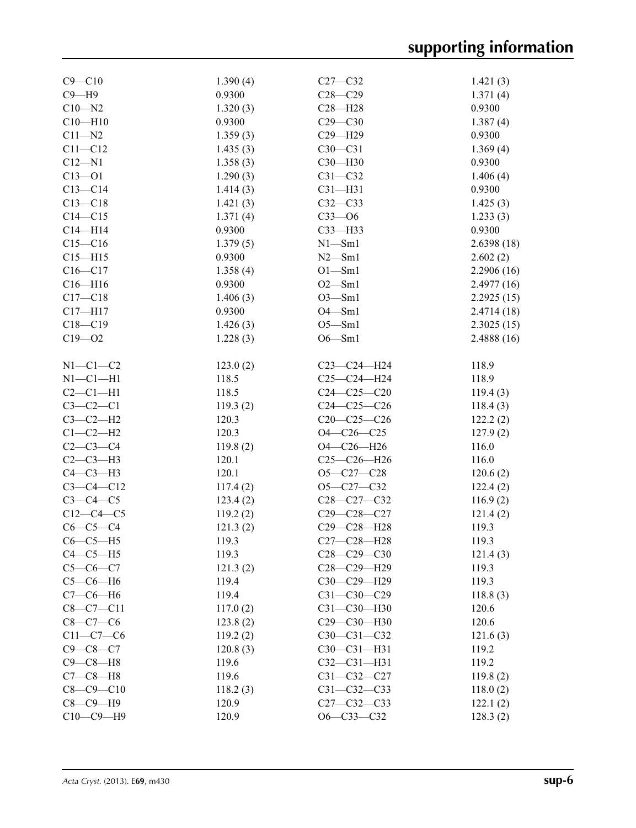| $C9 - C10$      | 1.390(4) | $C27-C32$         | 1.421(3)   |
|-----------------|----------|-------------------|------------|
| $C9 - H9$       | 0.9300   | $C28 - C29$       | 1.371(4)   |
| $C10 - N2$      | 1.320(3) | $C28 - H28$       | 0.9300     |
| $C10 - H10$     | 0.9300   | $C29 - C30$       | 1.387(4)   |
| $C11 - N2$      | 1.359(3) | $C29 - H29$       | 0.9300     |
| $C11 - C12$     | 1.435(3) | $C30-C31$         | 1.369(4)   |
| $C12 - N1$      | 1.358(3) | C30-H30           | 0.9300     |
| $C13 - 01$      | 1.290(3) | $C31 - C32$       | 1.406(4)   |
| $C13-C14$       | 1.414(3) | $C31 - H31$       | 0.9300     |
| $C13 - C18$     | 1.421(3) | $C32-C33$         | 1.425(3)   |
| $C14 - C15$     | 1.371(4) | $C33 - 06$        | 1.233(3)   |
| $C14 - H14$     | 0.9300   | $C33$ -H33        | 0.9300     |
| $C15 - C16$     | 1.379(5) | $N1 - Sm1$        | 2.6398(18) |
| $C15 - H15$     | 0.9300   | $N2$ —Sm1         | 2.602(2)   |
| $C16 - C17$     | 1.358(4) | $O1 - Sm1$        | 2.2906(16) |
| $C16 - H16$     | 0.9300   | $O2 - Sm1$        | 2.4977(16) |
| $C17 - C18$     | 1.406(3) | $O3 - Sm1$        | 2.2925(15) |
| $C17 - H17$     | 0.9300   | $O4 - Sm1$        | 2.4714(18) |
| $C18 - C19$     | 1.426(3) | $O5 - Sm1$        | 2.3025(15) |
| $C19 - 02$      | 1.228(3) | $O6 - Sm1$        | 2.4888(16) |
|                 |          |                   |            |
| $N1-C1-C2$      | 123.0(2) | $C23-C24-H24$     | 118.9      |
| $N1-C1-H1$      | 118.5    | $C25-C24-H24$     |            |
|                 |          |                   | 118.9      |
| $C2-C1-H1$      | 118.5    | $C24 - C25 - C20$ | 119.4(3)   |
| $C3-C2-C1$      | 119.3(2) | $C24 - C25 - C26$ | 118.4(3)   |
| $C3-C2-H2$      | 120.3    | $C20-C25-C26$     | 122.2(2)   |
| $C1-C2-H2$      | 120.3    | $O4 - C26 - C25$  | 127.9(2)   |
| $C2-C3-C4$      | 119.8(2) | $O4 - C26 - H26$  | 116.0      |
| $C2-C3-H3$      | 120.1    | $C25-C26-H26$     | 116.0      |
| $C4-C3-H3$      | 120.1    | $O5 - C27 - C28$  | 120.6(2)   |
| $C3 - C4 - C12$ | 117.4(2) | $O5 - C27 - C32$  | 122.4(2)   |
| $C3-C4-C5$      | 123.4(2) | $C28-C27-C32$     | 116.9(2)   |
| $C12-C4-C5$     | 119.2(2) | $C29 - C28 - C27$ | 121.4(2)   |
| $C6-C5-C4$      | 121.3(2) | C29-C28-H28       | 119.3      |
| $C6-C5-H5$      | 119.3    | C27-C28-H28       | 119.3      |
| $C4-C5-H5$      | 119.3    | $C28-C29-C30$     | 121.4(3)   |
| $C5 - C6 - C7$  | 121.3(2) | C28-C29-H29       | 119.3      |
| $C5-C6-H6$      | 119.4    | C30-C29-H29       | 119.3      |
| $C7-C6-H6$      | 119.4    | $C31 - C30 - C29$ | 118.8(3)   |
| $C8-C7-C11$     | 117.0(2) | $C31 - C30 - H30$ | 120.6      |
| $C8 - C7 - C6$  | 123.8(2) | C29-C30-H30       | 120.6      |
| $C11-C7-C6$     | 119.2(2) | $C30 - C31 - C32$ | 121.6(3)   |
| $C9 - C8 - C7$  | 120.8(3) | $C30 - C31 - H31$ | 119.2      |
| $C9-C8-H8$      | 119.6    | $C32 - C31 - H31$ | 119.2      |
|                 |          |                   |            |
| $C7-C8-H8$      | 119.6    | $C31 - C32 - C27$ | 119.8(2)   |
| $C8 - C9 - C10$ | 118.2(3) | $C31 - C32 - C33$ | 118.0(2)   |
| $C8-C9-H9$      | 120.9    | $C27 - C32 - C33$ | 122.1(2)   |
| $C10-C9-H9$     | 120.9    | $O6 - C33 - C32$  | 128.3(2)   |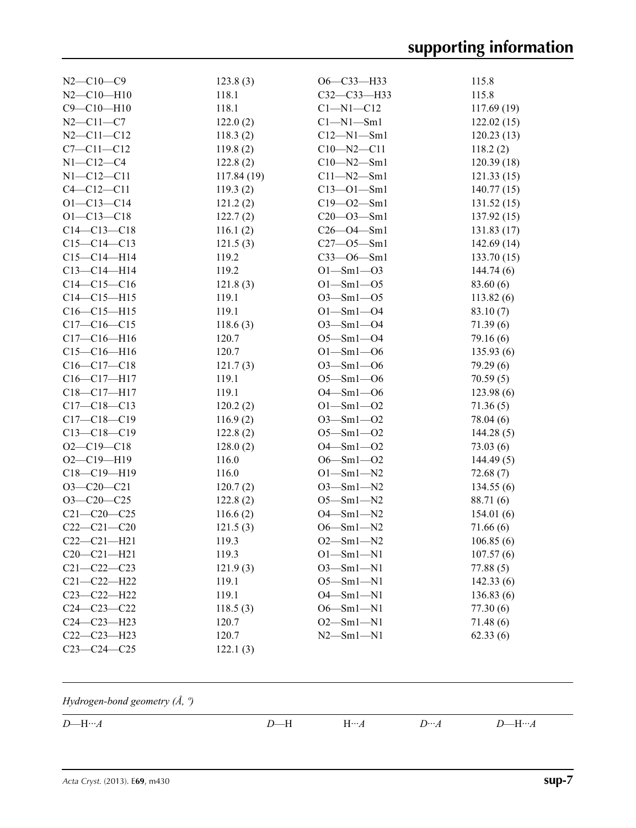| $N2 - C10 - C9$   | 123.8(3)   | $O6 - C33 - H33$ | 115.8      |
|-------------------|------------|------------------|------------|
| $N2 - C10 - H10$  | 118.1      | C32-C33-H33      | 115.8      |
| $C9 - C10 - H10$  | 118.1      | $Cl-M1-C12$      | 117.69(19) |
| $N2 - C11 - C7$   | 122.0(2)   | $Cl - N1 - Sm1$  | 122.02(15) |
| $N2 - C11 - C12$  | 118.3(2)   | $C12 - N1 - Sm1$ | 120.23(13) |
| $C7 - C11 - C12$  | 119.8(2)   | $C10 - N2 - C11$ | 118.2(2)   |
| $N1 - C12 - C4$   | 122.8(2)   | $C10 - N2 - Sm1$ | 120.39(18) |
| $N1 - C12 - C11$  | 117.84(19) | $C11 - N2 - Sm1$ | 121.33(15) |
| $C4 - C12 - C11$  | 119.3(2)   | $C13 - 01 - Sm1$ | 140.77(15) |
| $O1 - C13 - C14$  | 121.2(2)   | $C19 - 02 - 5m1$ | 131.52(15) |
| $O1 - C13 - C18$  | 122.7(2)   | $C20 - 03 - 5m1$ | 137.92(15) |
| $C14 - C13 - C18$ | 116.1(2)   | $C26 - O4 - Sm1$ | 131.83(17) |
| $C15-C14-C13$     | 121.5(3)   | $C27 - 05 - Sm1$ | 142.69(14) |
| $C15-C14-H14$     | 119.2      | $C33 - 06 - Sm1$ | 133.70(15) |
| $C13-C14-H14$     | 119.2      | $O1 - Sm1 - O3$  | 144.74(6)  |
| $C14-C15-C16$     | 121.8(3)   | $O1 - Sm1 - O5$  | 83.60 (6)  |
| $C14 - C15 - H15$ | 119.1      | $O3 - Sm1 - O5$  | 113.82(6)  |
| $C16 - C15 - H15$ | 119.1      | $O1 - Sm1 - O4$  | 83.10(7)   |
| $C17 - C16 - C15$ | 118.6(3)   | $O3 - Sm1 - O4$  | 71.39(6)   |
| $C17 - C16 - H16$ | 120.7      | $O5 - Sm1 - O4$  | 79.16(6)   |
| $C15-C16-H16$     | 120.7      | $O1 - Sm1 - O6$  | 135.93(6)  |
| $C16-C17-C18$     | 121.7(3)   | $O3 - Sm1 - O6$  | 79.29(6)   |
| $C16-C17-H17$     | 119.1      | $O5 - Sm1 - O6$  | 70.59(5)   |
| C18-C17-H17       | 119.1      | $O4 - Sml - O6$  | 123.98(6)  |
| $C17 - C18 - C13$ | 120.2(2)   | $O1 - Sm1 - O2$  | 71.36(5)   |
| $C17 - C18 - C19$ | 116.9(2)   | $O3 - Sm1 - O2$  | 78.04 (6)  |
| $C13 - C18 - C19$ | 122.8(2)   | $O5 - Sm1 - O2$  | 144.28(5)  |
| $O2 - C19 - C18$  | 128.0(2)   | $O4 - Sm1 - O2$  | 73.03(6)   |
| $O2 - C19 - H19$  | 116.0      | $O6 - Sm1 - O2$  | 144.49(5)  |
| C18-C19-H19       | 116.0      | $O1 - Sm1 - N2$  | 72.68(7)   |
| $O3-C20-C21$      | 120.7(2)   | $O3 - Sm1 - N2$  | 134.55(6)  |
| $O3-C20-C25$      | 122.8(2)   | $O5 - Sm1 - N2$  | 88.71 (6)  |
| $C21 - C20 - C25$ | 116.6(2)   | $O4 - Sm1 - N2$  | 154.01(6)  |
| $C22-C21-C20$     | 121.5(3)   | $O6 - Sm1 - N2$  | 71.66(6)   |
| $C22-C21-H21$     | 119.3      | $O2 - Sm1 - N2$  | 106.85(6)  |
| $C20-C21-H21$     | 119.3      | $O1 - Sml - N1$  | 107.57(6)  |
| $C21 - C22 - C23$ | 121.9(3)   | $O3 - Sm1 - N1$  | 77.88(5)   |
| $C21 - C22 - H22$ | 119.1      | $O5 - Sm1 - N1$  | 142.33(6)  |
| $C23 - C22 - H22$ | 119.1      | $O4 - Sm1 - N1$  | 136.83(6)  |
| $C24 - C23 - C22$ | 118.5(3)   | $O6 - Sm1 - N1$  | 77.30(6)   |
| $C24 - C23 - H23$ | 120.7      | $O2 - Sm1 - N1$  | 71.48(6)   |
| $C22-C23-H23$     | 120.7      | $N2 - Sm1 - N1$  | 62.33(6)   |
| $C23 - C24 - C25$ | 122.1(3)   |                  |            |
|                   |            |                  |            |

## *Hydrogen-bond geometry (Å, º)*

| $\epsilon$<br>$\mathbf{A}$<br>— | . .<br>. .<br>$\overline{\phantom{0}}$ | --<br>. .<br>-- | <br>. . | --<br>$\overline{\phantom{0}}$<br>$ -$ |
|---------------------------------|----------------------------------------|-----------------|---------|----------------------------------------|
|                                 |                                        |                 |         |                                        |